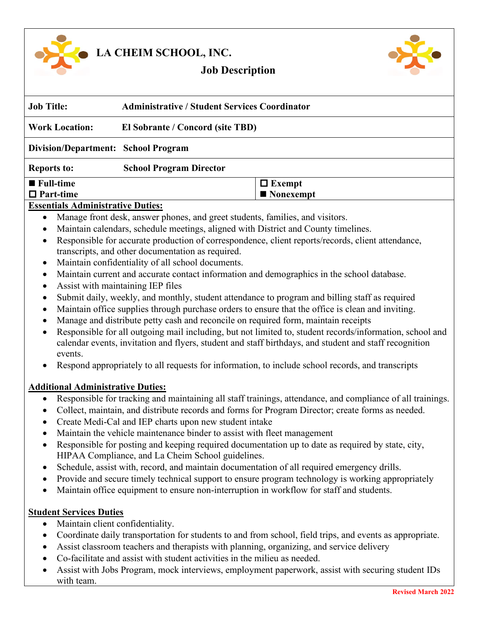

**LA CHEIM SCHOOL, INC.**



# **Job Description**

| <b>Job Title:</b>                                         | <b>Administrative / Student Services Coordinator</b> |                                                                                                                                                                                                                                                                                           |
|-----------------------------------------------------------|------------------------------------------------------|-------------------------------------------------------------------------------------------------------------------------------------------------------------------------------------------------------------------------------------------------------------------------------------------|
| <b>Work Location:</b><br>El Sobrante / Concord (site TBD) |                                                      |                                                                                                                                                                                                                                                                                           |
|                                                           | <b>Division/Department: School Program</b>           |                                                                                                                                                                                                                                                                                           |
| <b>Reports to:</b>                                        | <b>School Program Director</b>                       |                                                                                                                                                                                                                                                                                           |
| $\blacksquare$ Full-time                                  |                                                      | $\Box$ Exempt                                                                                                                                                                                                                                                                             |
| $\Box$ Part-time                                          |                                                      | $\blacksquare$ Nonexempt                                                                                                                                                                                                                                                                  |
| <b>Essentials Administrative Duties:</b>                  |                                                      |                                                                                                                                                                                                                                                                                           |
|                                                           |                                                      | Manage front desk, answer phones, and greet students, families, and visitors.                                                                                                                                                                                                             |
|                                                           |                                                      | Maintain calendars, schedule meetings, aligned with District and County timelines.                                                                                                                                                                                                        |
|                                                           | transcripts, and other documentation as required.    | Responsible for accurate production of correspondence, client reports/records, client attendance,                                                                                                                                                                                         |
| $\bullet$                                                 | Maintain confidentiality of all school documents.    |                                                                                                                                                                                                                                                                                           |
| $\bullet$                                                 | Assist with maintaining IEP files                    | Maintain current and accurate contact information and demographics in the school database.                                                                                                                                                                                                |
| $\bullet$<br>$\bullet$                                    |                                                      | Submit daily, weekly, and monthly, student attendance to program and billing staff as required<br>Maintain office supplies through purchase orders to ensure that the office is clean and inviting.<br>Manage and distribute petty cash and reconcile on required form, maintain receipts |
| $\bullet$<br>events.                                      |                                                      | Responsible for all outgoing mail including, but not limited to, student records/information, school and<br>calendar events, invitation and flyers, student and staff birthdays, and student and staff recognition                                                                        |
|                                                           |                                                      |                                                                                                                                                                                                                                                                                           |

#### **Additional Administrative Duties:**

- Responsible for tracking and maintaining all staff trainings, attendance, and compliance of all trainings.
- Collect, maintain, and distribute records and forms for Program Director; create forms as needed.
- Create Medi-Cal and IEP charts upon new student intake
- Maintain the vehicle maintenance binder to assist with fleet management
- Responsible for posting and keeping required documentation up to date as required by state, city, HIPAA Compliance, and La Cheim School guidelines.
- Schedule, assist with, record, and maintain documentation of all required emergency drills.
- Provide and secure timely technical support to ensure program technology is working appropriately
- Maintain office equipment to ensure non-interruption in workflow for staff and students.

#### **Student Services Duties**

- Maintain client confidentiality.
- Coordinate daily transportation for students to and from school, field trips, and events as appropriate.
- Assist classroom teachers and therapists with planning, organizing, and service delivery
- Co-facilitate and assist with student activities in the milieu as needed.
- Assist with Jobs Program, mock interviews, employment paperwork, assist with securing student IDs with team.